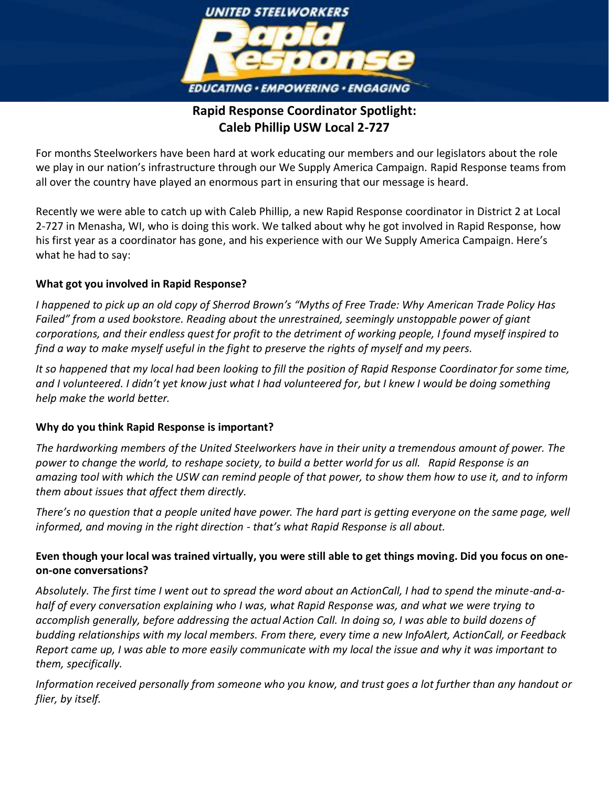

# **Rapid Response Coordinator Spotlight: Caleb Phillip USW Local 2-727**

For months Steelworkers have been hard at work educating our members and our legislators about the role we play in our nation's infrastructure through our We Supply America Campaign. Rapid Response teams from all over the country have played an enormous part in ensuring that our message is heard.

Recently we were able to catch up with Caleb Phillip, a new Rapid Response coordinator in District 2 at Local 2-727 in Menasha, WI, who is doing this work. We talked about why he got involved in Rapid Response, how his first year as a coordinator has gone, and his experience with our We Supply America Campaign. Here's what he had to say:

## **What got you involved in Rapid Response?**

*I happened to pick up an old copy of Sherrod Brown's "Myths of Free Trade: Why American Trade Policy Has Failed" from a used bookstore. Reading about the unrestrained, seemingly unstoppable power of giant corporations, and their endless quest for profit to the detriment of working people, I found myself inspired to find a way to make myself useful in the fight to preserve the rights of myself and my peers.*

*It so happened that my local had been looking to fill the position of Rapid Response Coordinator for some time, and I volunteered. I didn't yet know just what I had volunteered for, but I knew I would be doing something help make the world better.*

#### **Why do you think Rapid Response is important?**

*The hardworking members of the United Steelworkers have in their unity a tremendous amount of power. The power to change the world, to reshape society, to build a better world for us all. Rapid Response is an amazing tool with which the USW can remind people of that power, to show them how to use it, and to inform them about issues that affect them directly.*

*There's no question that a people united have power. The hard part is getting everyone on the same page, well informed, and moving in the right direction - that's what Rapid Response is all about.*

# **Even though your local was trained virtually, you were still able to get things moving. Did you focus on oneon-one conversations?**

*Absolutely. The first time I went out to spread the word about an ActionCall, I had to spend the minute-and-ahalf of every conversation explaining who I was, what Rapid Response was, and what we were trying to accomplish generally, before addressing the actual Action Call. In doing so, I was able to build dozens of budding relationships with my local members. From there, every time a new InfoAlert, ActionCall, or Feedback Report came up, I was able to more easily communicate with my local the issue and why it was important to them, specifically.*

*Information received personally from someone who you know, and trust goes a lot further than any handout or flier, by itself.*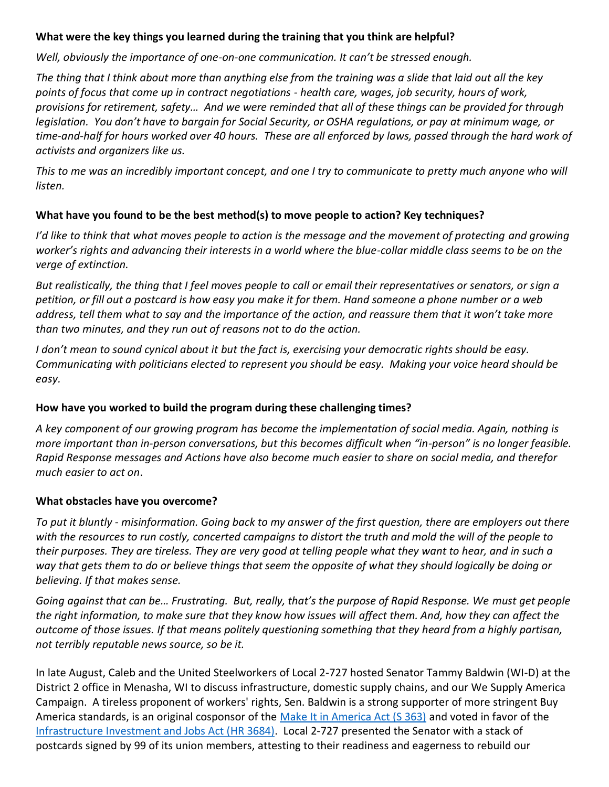#### **What were the key things you learned during the training that you think are helpful?**

*Well, obviously the importance of one-on-one communication. It can't be stressed enough.*

*The thing that I think about more than anything else from the training was a slide that laid out all the key points of focus that come up in contract negotiations - health care, wages, job security, hours of work, provisions for retirement, safety… And we were reminded that all of these things can be provided for through legislation. You don't have to bargain for Social Security, or OSHA regulations, or pay at minimum wage, or time-and-half for hours worked over 40 hours. These are all enforced by laws, passed through the hard work of activists and organizers like us.*

*This to me was an incredibly important concept, and one I try to communicate to pretty much anyone who will listen.*

## **What have you found to be the best method(s) to move people to action? Key techniques?**

*I'd like to think that what moves people to action is the message and the movement of protecting and growing worker's rights and advancing their interests in a world where the blue-collar middle class seems to be on the verge of extinction.*

*But realistically, the thing that I feel moves people to call or email their representatives or senators, or sign a petition, or fill out a postcard is how easy you make it for them. Hand someone a phone number or a web address, tell them what to say and the importance of the action, and reassure them that it won't take more than two minutes, and they run out of reasons not to do the action.* 

*I don't mean to sound cynical about it but the fact is, exercising your democratic rights should be easy. Communicating with politicians elected to represent you should be easy. Making your voice heard should be easy.*

#### **How have you worked to build the program during these challenging times?**

*A key component of our growing program has become the implementation of social media. Again, nothing is more important than in-person conversations, but this becomes difficult when "in-person" is no longer feasible. Rapid Response messages and Actions have also become much easier to share on social media, and therefor much easier to act on*.

#### **What obstacles have you overcome?**

*To put it bluntly - misinformation. Going back to my answer of the first question, there are employers out there with the resources to run costly, concerted campaigns to distort the truth and mold the will of the people to their purposes. They are tireless. They are very good at telling people what they want to hear, and in such a way that gets them to do or believe things that seem the opposite of what they should logically be doing or believing. If that makes sense.*

*Going against that can be… Frustrating. But, really, that's the purpose of Rapid Response. We must get people the right information, to make sure that they know how issues will affect them. And, how they can affect the outcome of those issues. If that means politely questioning something that they heard from a highly partisan, not terribly reputable news source, so be it.*

In late August, Caleb and the United Steelworkers of Local 2-727 hosted Senator Tammy Baldwin (WI-D) at the District 2 office in Menasha, WI to discuss infrastructure, domestic supply chains, and our We Supply America Campaign. A tireless proponent of workers' rights, Sen. Baldwin is a strong supporter of more stringent Buy America standards, is an original cosponsor of the [Make It in America Act \(S 363\)](https://www.congress.gov/bill/117th-congress/senate-bill/363?q=%7B%22search%22%3A%5B%22S.363%22%2C%22S.363%22%5D%7D&s=7&r=1) and voted in favor of the [Infrastructure Investment and Jobs Act \(HR 3684\).](https://www.congress.gov/bill/117th-congress/house-bill/3684?q=%7B%22search%22%3A%5B%22Infrastructure+Investment+and+Jobs+Act%22%2C%22Infrastructure%22%2C%22Investment%22%2C%22and%22%2C%22Jobs%22%2C%22Act%22%5D%7D&s=1&r=1) Local 2-727 presented the Senator with a stack of postcards signed by 99 of its union members, attesting to their readiness and eagerness to rebuild our